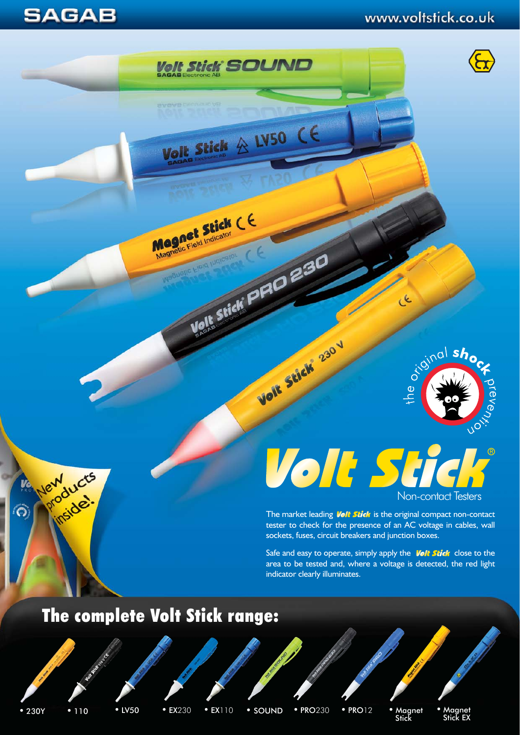**SAGAB** 

## www.voltstick.co.uk



# Volt Stic [Non-contact Testers](http://www.voltstick.co.uk/)

رد

The market leading **Volt Stick** is the original compact non-contact tester to check for the presence of an AC voltage in cables, wall sockets, fuses, circuit breakers and junction boxes.

Safe and easy to operate, simply apply the **Volt Stick** close to the area to be tested and, where a voltage is detected, the red light indicator clearly illuminates.

## The complete Volt Stick range:

products

inside.

New

 $\hat{c}$ 

• EX110

**Volt Stick SOUND** 

Volt Stick & LV50 CE

Velle Stick<sup>s</sup> PRO 230

Volt Stick 230V

Magnetic Field Indicator

• 230Y • 110 • LV50 • EX230 • EX110 • SOUND • PRO230 • PRO12 • Magnet EX230 • EX110 • SOUND • PRO230 • PRO12 • Magnet • Magnet • Magnet • Stick EX

• PRO12 • Magnet • Magnet<br>Stick 5tick EX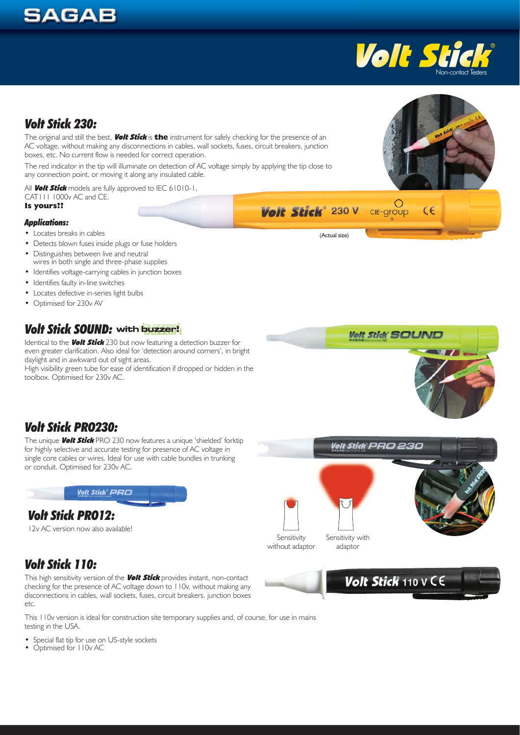## **SAGAB**



 $\epsilon$ 

## *[Volt Stick 230:](http://www.voltstick.co.uk/product_voltstick_230Y.htm)*

The original and still the best, Volt Stick is **the** instrument for safely checking for the presence of an AC voltage, without making any disconnections in cables, wall sockets, fuses, circuit breakers, junction boxes, etc. No current flow is needed for correct operation.

The red indicator in the tip will illuminate on detection of AC voltage simply by applying the tip close to any connection point, or moving it along any insulated cable.

All **Volt Stick** models are fully approved to IEC 61010-1, CAT111 1000v AC and CE. **Is yours??**

#### *Applications:*

- Locates breaks in cables
- Detects blown fuses inside plugs or fuse holders
- Distinguishes between live and neutral wires in both single and three-phase supplies
- Identifies voltage-carrying cables in junction boxes
- Identifies faulty in-line switches
- Locates defective in-series light bulbs
- Optimised for 230v AV

## *[Volt Stick SOUND:](http://www.voltstick.co.uk/product_voltstick_SOUND.htm)*

Identical to the **Volt Stick** 230 but now featuring a detection buzzer for even greater clarification. Also ideal for 'detection around corners', in bright daylight and in awkward out of sight areas.

High visibility green tube for ease of identification if dropped or hidden in the toolbox. Optimised for 230v AC.



## *[Volt Stick PRO230:](http://www.voltstick.co.uk/product_voltstick_PRO230.htm)*

The unique **Volt Stick** PRO 230 now features a unique 'shielded' forktip for highly selective and accurate testing for presence of AC voltage in single core cables or wires. Ideal for use with cable bundles in trunking or conduit. Optimised for 230v AC.



## *[Volt Stick PRO12:](http://www.voltstick.co.uk/product_voltstick_PRO12.htm)*

12v AC version now also available!

## *[Volt Stick 110:](http://www.voltstick.co.uk/product_voltstick_110.htm)*

This high sensitivity version of the **Volt Stick** provides instant, non-contact checking for the presence of AC voltage down to 110v, without making any disconnections in cables, wall sockets, fuses, circuit breakers, junction boxes etc.

This 110v version is ideal for construction site temporary supplies and, of course, for use in mains testing in the USA.

- Special flat tip for use on US-style sockets
- Optimised for IIOv AC





(Actual size)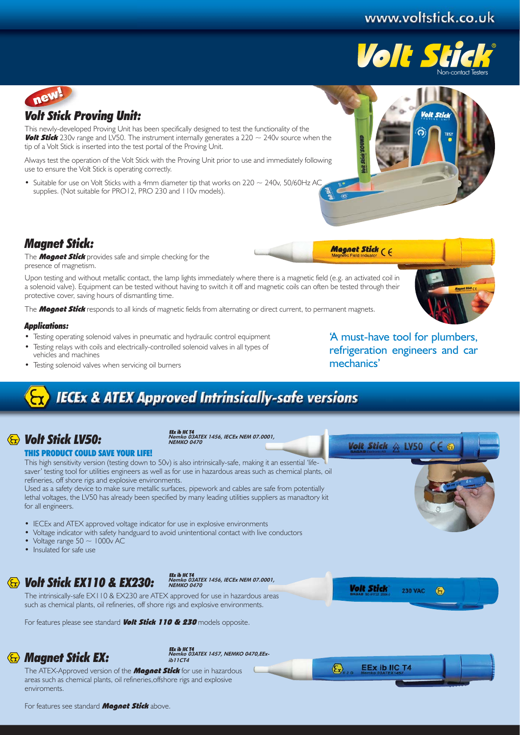## www.voltstick.co.uk





This newly-developed Proving Unit has been specifically designed to test the functionality of the **Volt Stick** 230v range and LV50. The instrument internally generates a 220  $\sim$  240v source when the tip of a Volt Stick is inserted into the test portal of the Proving Unit.

Always test the operation of the Volt Stick with the Proving Unit prior to use and immediately following use to ensure the Volt Stick is operating correctly.

• Suitable for use on Volt Sticks with a 4mm diameter tip that works on  $220 \sim 240$ v, 50/60Hz AC supplies. (Not suitable for PRO12, PRO 230 and 110y models).



#### *[Magnet Stick:](http://www.voltstick.co.uk/product_magnetstick.htm)*

The **Magnet Stick** provides safe and simple checking for the presence of magnetism.

Upon testing and without metallic contact, the lamp lights immediately where there is a magnetic field (e.g. an activated coil in a solenoid valve). Equipment can be tested without having to switch it off and magnetic coils can often be tested through their protective cover, saving hours of dismantling time.

The **Magnet Stick** responds to all kinds of magnetic fields from alternating or direct current, to permanent magnets.

#### *Applications:*

- Testing operating solenoid valves in pneumatic and hydraulic control equipment
- Testing relays with coils and electrically-controlled solenoid valves in all types of vehicles and machines
- Testing solenoid valves when servicing oil burners

'A must-have tool for plumbers, refrigeration engineers and car mechanics'

Volt Stick  $\land$  LV50  $\subset \subset$ 

## **IECEx & ATEX Approved Intrinsically-safe versions**

## *[Volt Stick LV50:](http://www.voltstick.co.uk/product_voltstick_LV50.htm)*

Nemko 03ATEX 1456, IECEx NEM 07.0001, NEMKO 0470

#### THIS PRODUCT COULD SAVE YOUR LIFE!

This high sensitivity version (testing down to 50v) is also intrinsically-safe, making it an essential 'lifesaver' testing tool for utilities engineers as well as for use in hazardous areas such as chemical plants, oil refineries, off shore rigs and explosive environments.

Used as a safety device to make sure metallic surfaces, pipework and cables are safe from potentially lethal voltages, the LV50 has already been specified by many leading utilities suppliers as manadtory kit for all engineers.

- IECEx and ATEX approved voltage indicator for use in explosive environments
- Voltage indicator with safety handguard to avoid unintentional contact with live conductors
- Voltage range  $50 \sim 1000v$  AC
- Insulated for safe use

## *Volt Stic[k EX110 &](http://www.voltstick.co.uk/product_voltstick_ex110.htm) [EX230:](http://www.voltstick.co.uk/product_voltstick_ex230.htm)*

EEx ib IIC T4<br>Nemko 03ATEX 1456, IECEx NEM 07.0001, NEMKO 0470

The intrinsically-safe EX110 & EX230 are ATEX approved for use in hazardous areas such as chemical plants, oil refineries, off shore rigs and explosive environments.

For features please see standard **Volt Stick 110 & 230** models opposite.

## *[Magnet Stick EX:](http://www.voltstick.co.uk/product_magnetstickEX.htm)*

EEx ib IIC T4<br>Nemko 03ATEX 1457, NEMKO 0470,EExib11CT4

The ATEX-Approved version of the **Magnet Stick** for use in hazardous areas such as chemical plants, oil refineries,offshore rigs and explosive enviroments.



**Volt Stick** 





 $\overline{G}$ 

**230 VAC**